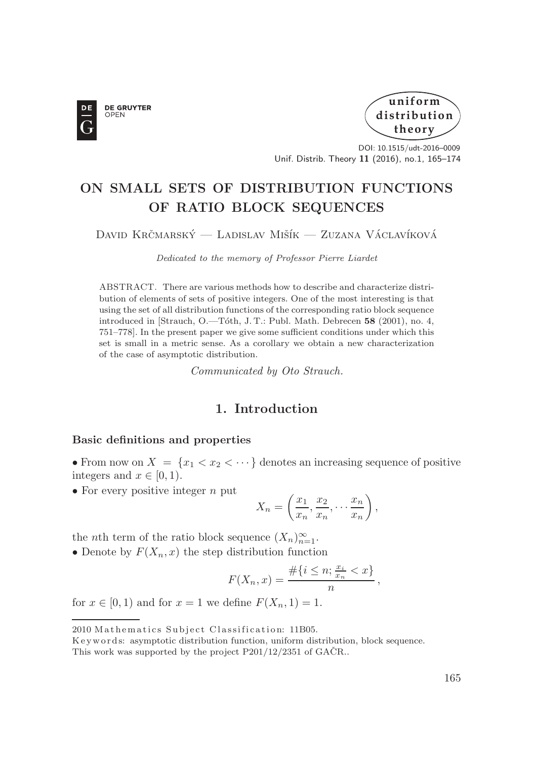



DOI: 10.1515/udt-2016–0009 Unif. Distrib. Theory **11** (2016), no.1, 165–174

# **ON SMALL SETS OF DISTRIBUTION FUNCTIONS OF RATIO BLOCK SEQUENCES**

### David Krčmarský — Ladislav Mišík — Zuzana Václavíková

*Dedicated to the memory of Professor Pierre Liardet*

ABSTRACT. There are various methods how to describe and characterize distribution of elements of sets of positive integers. One of the most interesting is that using the set of all distribution functions of the corresponding ratio block sequence introduced in [Strauch, O.—T´oth, J. T.: Publ. Math. Debrecen **58** (2001), no. 4, 751–778]. In the present paper we give some sufficient conditions under which this set is small in a metric sense. As a corollary we obtain a new characterization of the case of asymptotic distribution.

*Communicated by Oto Strauch.*

# **1. Introduction**

#### **Basic definitions and properties**

• From now on  $X = \{x_1 < x_2 < \cdots\}$  denotes an increasing sequence of positive integers and  $x \in [0, 1)$ .

• For every positive integer  $n$  put

$$
X_n = \left(\frac{x_1}{x_n}, \frac{x_2}{x_n}, \dots, \frac{x_n}{x_n}\right),
$$

the *n*th term of the ratio block sequence  $(X_n)_{n=1}^{\infty}$ .

• Denote by  $F(X_n, x)$  the step distribution function

$$
F(X_n, x) = \frac{\#\{i \le n; \frac{x_i}{x_n} < x\}}{n},
$$

for  $x \in [0, 1)$  and for  $x = 1$  we define  $F(X_n, 1) = 1$ .

<sup>2010</sup> Mathematics Subject Classification: 11B05.

K e y w ords: asymptotic distribution function, uniform distribution, block sequence.

This work was supported by the project  $P201/12/2351$  of  $GACR$ ..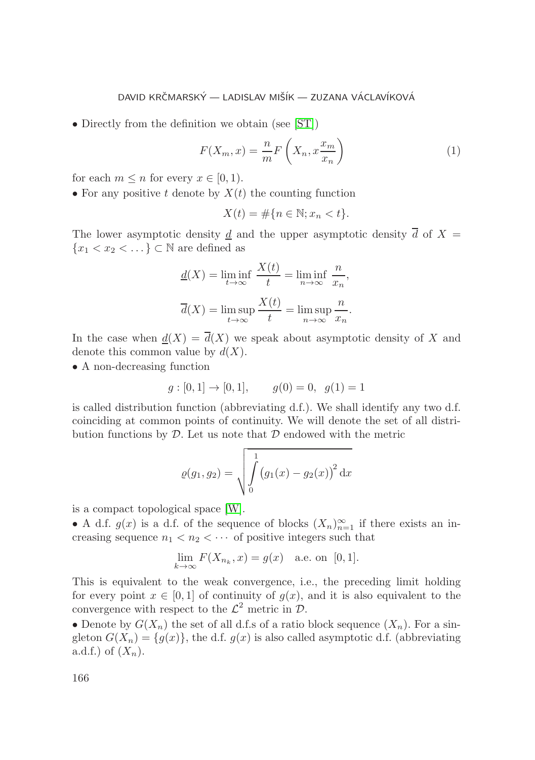#### DAVID KRČMARSKÝ – LADISLAV MIŠÍK – ZUZANA VÁCLAVÍKOVÁ

• Directly from the definition we obtain (see [\[ST\]](#page-9-0))

$$
F(X_m, x) = \frac{n}{m} F\left(X_n, x \frac{x_m}{x_n}\right)
$$
 (1)

for each  $m \leq n$  for every  $x \in [0, 1)$ .

• For any positive t denote by  $X(t)$  the counting function

$$
X(t) = \#\{n \in \mathbb{N}; x_n < t\}.
$$

The lower asymptotic density  $\underline{d}$  and the upper asymptotic density  $\overline{d}$  of  $X =$  ${x_1 < x_2 < \ldots}$   $\subset \mathbb{N}$  are defined as

$$
\underline{d}(X) = \liminf_{t \to \infty} \frac{X(t)}{t} = \liminf_{n \to \infty} \frac{n}{x_n},
$$

$$
\overline{d}(X) = \limsup_{t \to \infty} \frac{X(t)}{t} = \limsup_{n \to \infty} \frac{n}{x_n}.
$$

In the case when  $d(X) = \overline{d}(X)$  we speak about asymptotic density of X and denote this common value by  $d(X)$ .

• A non-decreasing function

$$
g: [0, 1] \to [0, 1],
$$
  $g(0) = 0, g(1) = 1$ 

is called distribution function (abbreviating  $d.f.$ ). We shall identify any two  $d.f.$ coinciding at common points of continuity. We will denote the set of all distribution functions by  $D$ . Let us note that  $D$  endowed with the metric

$$
\varrho(g_1, g_2) = \sqrt{\int_0^1 (g_1(x) - g_2(x))^2 dx}
$$

is a compact topological space [\[W\]](#page-9-1).

• A d.f.  $g(x)$  is a d.f. of the sequence of blocks  $(X_n)_{n=1}^{\infty}$  if there exists an increasing sequence  $n_1 < n_2 < \cdots$  of positive integers such that

$$
\lim_{k \to \infty} F(X_{n_k}, x) = g(x) \text{ a.e. on } [0, 1].
$$

This is equivalent to the weak convergence, i.e., the preceding limit holding for every point  $x \in [0,1]$  of continuity of  $g(x)$ , and it is also equivalent to the convergence with respect to the  $\mathcal{L}^2$  metric in  $\mathcal{D}$ .

• Denote by  $G(X_n)$  the set of all d.f.s of a ratio block sequence  $(X_n)$ . For a singleton  $G(X_n) = \{g(x)\}\$ , the d.f.  $g(x)$  is also called asymptotic d.f. (abbreviating a.d.f.) of  $(X_n)$ .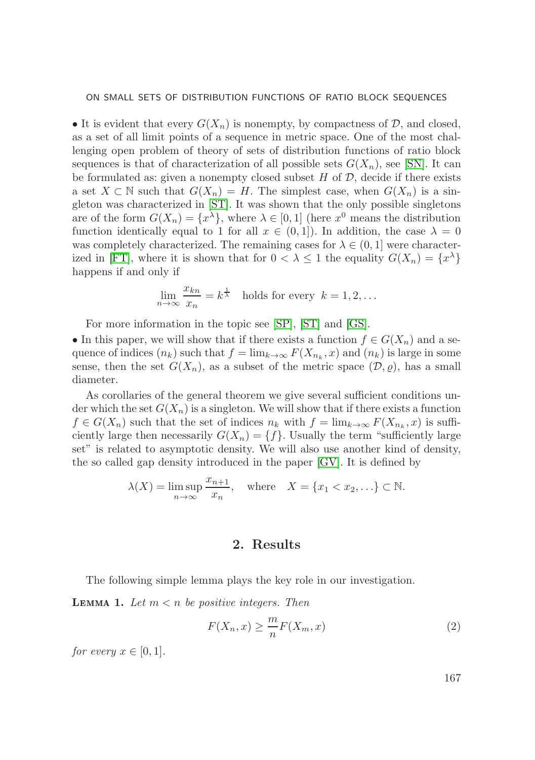• It is evident that every  $G(X_n)$  is nonempty, by compactness of  $\mathcal{D}$ , and closed, as a set of all limit points of a sequence in metric space. One of the most challenging open problem of theory of sets of distribution functions of ratio block sequences is that of characterization of all possible sets  $G(X_n)$ , see [\[SN\]](#page-9-2). It can be formulated as: given a nonempty closed subset  $H$  of  $D$ , decide if there exists a set  $X \subset \mathbb{N}$  such that  $G(X_n) = H$ . The simplest case, when  $G(X_n)$  is a singleton was characterized in [\[ST\]](#page-9-0). It was shown that the only possible singletons are of the form  $G(X_n) = \{x^{\lambda}\}\,$ , where  $\lambda \in [0,1]$  (here  $x^0$  means the distribution function identically equal to 1 for all  $x \in (0,1]$ ). In addition, the case  $\lambda = 0$ was completely characterized. The remaining cases for  $\lambda \in (0, 1]$  were character-ized in [\[FT\]](#page-8-0), where it is shown that for  $0 < \lambda \leq 1$  the equality  $G(X_n) = \{x^{\lambda}\}\$ happens if and only if

$$
\lim_{n \to \infty} \frac{x_{kn}}{x_n} = k^{\frac{1}{\lambda}}
$$
 holds for every  $k = 1, 2, ...$ 

For more information in the topic see [\[SP\]](#page-9-3), [\[ST\]](#page-9-0) and [\[GS\]](#page-8-1).

• In this paper, we will show that if there exists a function  $f \in G(X_n)$  and a sequence of indices  $(n_k)$  such that  $f = \lim_{k \to \infty} F(X_{n_k}, x)$  and  $(n_k)$  is large in some sense, then the set  $G(X_n)$ , as a subset of the metric space  $(D, \rho)$ , has a small diameter.

As corollaries of the general theorem we give several sufficient conditions under which the set  $G(X_n)$  is a singleton. We will show that if there exists a function  $f \in G(X_n)$  such that the set of indices  $n_k$  with  $f = \lim_{k \to \infty} F(X_{n_k}, x)$  is sufficiently large then necessarily  $G(X_n) = \{f\}$ . Usually the term "sufficiently large set" is related to asymptotic density. We will also use another kind of density, the so called gap density introduced in the paper [\[GV\]](#page-8-2). It is defined by

$$
\lambda(X) = \limsup_{n \to \infty} \frac{x_{n+1}}{x_n}
$$
, where  $X = \{x_1 < x_2, \ldots\} \subset \mathbb{N}$ .

## **2. Results**

<span id="page-2-0"></span>The following simple lemma plays the key role in our investigation.

**LEMMA 1.** Let  $m < n$  be positive integers. Then

$$
F(X_n, x) \ge \frac{m}{n} F(X_m, x)
$$
\n<sup>(2)</sup>

*for every*  $x \in [0, 1]$ *.* 

167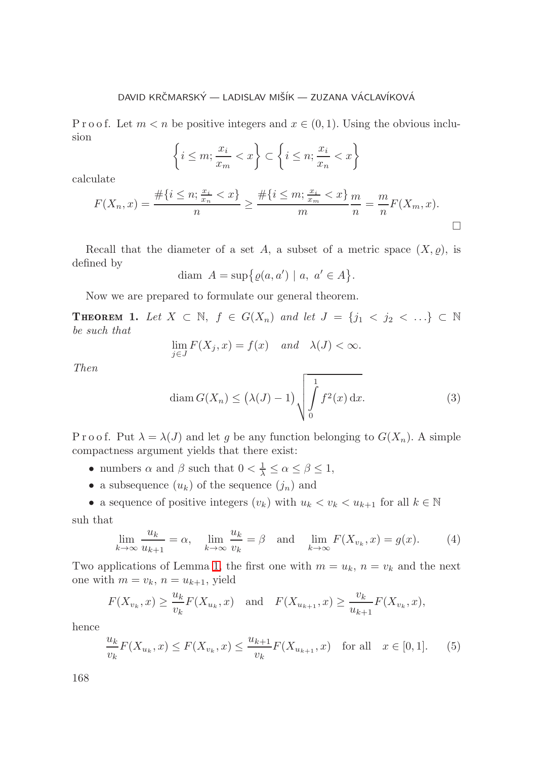#### DAVID KRČMARSKÝ – LADISLAV MIŠÍK – ZUZANA VÁCLAVÍKOVÁ

P r o o f. Let  $m < n$  be positive integers and  $x \in (0, 1)$ . Using the obvious inclusion

$$
\left\{ i \le m; \frac{x_i}{x_m} < x \right\} \subset \left\{ i \le n; \frac{x_i}{x_n} < x \right\}
$$

calculate

$$
F(X_n, x) = \frac{\#\{i \le n; \frac{x_i}{x_n} < x\}}{n} \ge \frac{\#\{i \le m; \frac{x_i}{x_m} < x\}}{m} \frac{m}{n} = \frac{m}{n} F(X_m, x).
$$

Recall that the diameter of a set A, a subset of a metric space  $(X, \varrho)$ , is defined by

$$
\text{diam } A = \sup \{ \varrho(a, a') \mid a, a' \in A \}.
$$

<span id="page-3-2"></span>Now we are prepared to formulate our general theorem.

**THEOREM 1.** Let  $X \subset \mathbb{N}$ ,  $f \in G(X_n)$  and let  $J = \{j_1 \prec j_2 \prec \ldots\} \subset \mathbb{N}$ *be such that*

$$
\lim_{j \in J} F(X_j, x) = f(x) \quad and \quad \lambda(J) < \infty.
$$

*Then*

<span id="page-3-3"></span>
$$
\operatorname{diam} G(X_n) \le \left(\lambda(J) - 1\right) \sqrt{\int_0^1 f^2(x) \, \mathrm{d}x}.\tag{3}
$$

P r o o f. Put  $\lambda = \lambda(J)$  and let g be any function belonging to  $G(X_n)$ . A simple compactness argument yields that there exist:

- numbers  $\alpha$  and  $\beta$  such that  $0 < \frac{1}{\lambda} \leq \alpha \leq \beta \leq 1$ ,
- a subsequence  $(u_k)$  of the sequence  $(j_n)$  and
- a sequence of positive integers  $(v_k)$  with  $u_k < v_k < u_{k+1}$  for all  $k \in \mathbb{N}$ suh that

<span id="page-3-1"></span>
$$
\lim_{k \to \infty} \frac{u_k}{u_{k+1}} = \alpha, \quad \lim_{k \to \infty} \frac{u_k}{v_k} = \beta \quad \text{and} \quad \lim_{k \to \infty} F(X_{v_k}, x) = g(x). \tag{4}
$$

Two applications of Lemma [1,](#page-2-0) the first one with  $m = u_k$ ,  $n = v_k$  and the next one with  $m = v_k$ ,  $n = u_{k+1}$ , yield

$$
F(X_{v_k}, x) \ge \frac{u_k}{v_k} F(X_{u_k}, x)
$$
 and  $F(X_{u_{k+1}}, x) \ge \frac{v_k}{u_{k+1}} F(X_{v_k}, x)$ ,

hence

<span id="page-3-0"></span>
$$
\frac{u_k}{v_k} F(X_{u_k}, x) \le F(X_{v_k}, x) \le \frac{u_{k+1}}{v_k} F(X_{u_{k+1}}, x) \text{ for all } x \in [0, 1]. \tag{5}
$$

168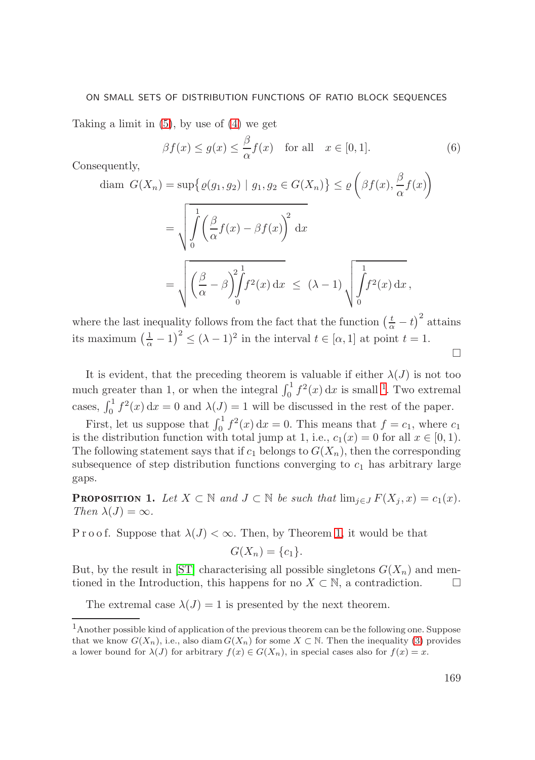#### ON SMALL SETS OF DISTRIBUTION FUNCTIONS OF RATIO BLOCK SEQUENCES

Taking a limit in  $(5)$ , by use of  $(4)$  we get

$$
\beta f(x) \le g(x) \le \frac{\beta}{\alpha} f(x) \quad \text{for all} \quad x \in [0, 1]. \tag{6}
$$

Consequently,

$$
\text{diam } G(X_n) = \sup \{ \varrho(g_1, g_2) \mid g_1, g_2 \in G(X_n) \} \le \varrho \left( \beta f(x), \frac{\beta}{\alpha} f(x) \right)
$$
\n
$$
= \sqrt{\int_0^1 \left( \frac{\beta}{\alpha} f(x) - \beta f(x) \right)^2 dx}
$$
\n
$$
= \sqrt{\left( \frac{\beta}{\alpha} - \beta \right) \int_0^1 f^2(x) dx} \le (\lambda - 1) \sqrt{\int_0^1 f^2(x) dx},
$$

where the last inequality follows from the fact that the function  $\left(\frac{t}{\alpha} - t\right)^2$  attains its maximum  $\left(\frac{1}{\alpha} - 1\right)^2 \le (\lambda - 1)^2$  in the interval  $t \in [\alpha, 1]$  at point  $t = 1$ .  $\Box$ 

It is evident, that the preceding theorem is valuable if either  $\lambda(J)$  is not too much greater than 1, or when the integral  $\int_0^1 f^2(x) dx$  is small <sup>1</sup>. Two extremal cases,  $\int_0^1 f^2(x) dx = 0$  and  $\lambda(J) = 1$  will be discussed in the rest of the paper.

First, let us suppose that  $\int_0^1 f^2(x) dx = 0$ . This means that  $f = c_1$ , where  $c_1$ is the distribution function with total jump at 1, i.e.,  $c_1(x) = 0$  for all  $x \in [0,1)$ . The following statement says that if  $c_1$  belongs to  $G(X_n)$ , then the corresponding subsequence of step distribution functions converging to  $c_1$  has arbitrary large gaps.

**PROPOSITION 1.** Let  $X \subset \mathbb{N}$  and  $J \subset \mathbb{N}$  be such that  $\lim_{j \in J} F(X_j, x) = c_1(x)$ . *Then*  $\lambda(J) = \infty$ *.* 

P r o o f. Suppose that  $\lambda(J) < \infty$ . Then, by Theorem [1,](#page-3-2) it would be that

$$
G(X_n) = \{c_1\}.
$$

But, by the result in [\[ST\]](#page-9-0) characterising all possible singletons  $G(X_n)$  and mentioned in the Introduction, this happens for no  $X \subset \mathbb{N}$ , a contradiction.  $\Box$ 

<span id="page-4-0"></span>The extremal case  $\lambda(J) = 1$  is presented by the next theorem.

<sup>1</sup>Another possible kind of application of the previous theorem can be the following one. Suppose that we know  $G(X_n)$ , i.e., also diam  $G(X_n)$  for some  $X \subset \mathbb{N}$ . Then the inequality [\(3\)](#page-3-3) provides a lower bound for  $\lambda(J)$  for arbitrary  $f(x) \in G(X_n)$ , in special cases also for  $f(x) = x$ .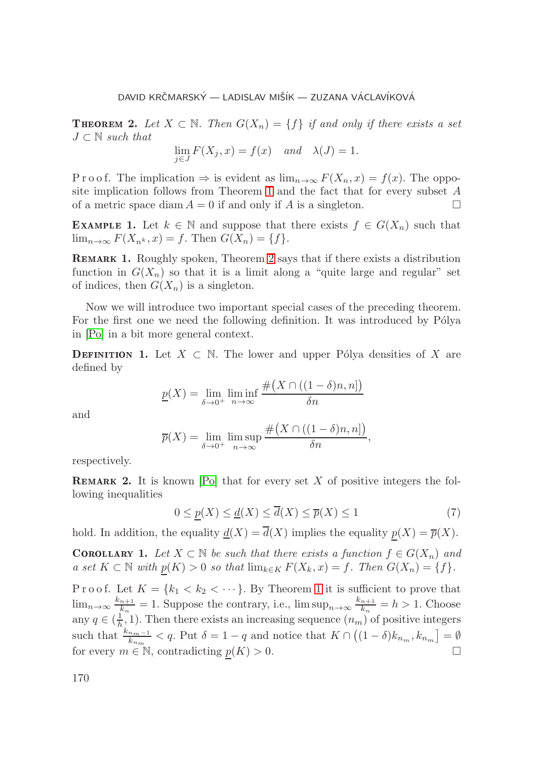**THEOREM 2.** Let  $X \subset \mathbb{N}$ . Then  $G(X_n) = \{f\}$  if and only if there exists a set J ⊂ N *such that*

$$
\lim_{j \in J} F(X_j, x) = f(x) \quad and \quad \lambda(J) = 1.
$$

P r o o f. The implication  $\Rightarrow$  is evident as  $\lim_{n\to\infty} F(X_n, x) = f(x)$ . The opposite implication follows from Theorem [1](#page-3-2) and the fact that for every subset A of a metric space diam  $A = 0$  if and only if A is a singleton.  $\Box$ 

**EXAMPLE 1.** Let  $k \in \mathbb{N}$  and suppose that there exists  $f \in G(X_n)$  such that  $\lim_{n\to\infty} F(X_{n^k},x)=f.$  Then  $G(X_n)=\{f\}.$ 

<span id="page-5-1"></span>**REMARK 1.** Roughly spoken, Theorem [2](#page-4-0) says that if there exists a distribution function in  $G(X_n)$  so that it is a limit along a "quite large and regular" set of indices, then  $G(X_n)$  is a singleton.

Now we will introduce two important special cases of the preceding theorem. For the first one we need the following definition. It was introduced by Pólya in [\[Po\]](#page-8-3) in a bit more general context.

**DEFINITION 1.** Let  $X \subset \mathbb{N}$ . The lower and upper Pólya densities of X are defined by

$$
\underline{p}(X) = \lim_{\delta \to 0^+} \liminf_{n \to \infty} \frac{\#(X \cap ((1 - \delta)n, n])}{\delta n}
$$

and

$$
\overline{p}(X) = \lim_{\delta \to 0^+} \limsup_{n \to \infty} \frac{\#(X \cap ((1 - \delta)n, n])}{\delta n},
$$

respectively.

<span id="page-5-0"></span>**REMARK 2.** It is known  $[Po]$  that for every set  $X$  of positive integers the following inequalities

$$
0 \le \underline{p}(X) \le \underline{d}(X) \le \overline{d}(X) \le \overline{p}(X) \le 1 \tag{7}
$$

hold. In addition, the equality  $\underline{d}(X) = \overline{d}(X)$  implies the equality  $p(X) = \overline{p}(X)$ .

**11** *Let*  $X \subset \mathbb{N}$  *be such that there exists a function*  $f \in G(X_n)$  *and a set*  $K ⊂ N$  *with*  $p(K) > 0$  *so that*  $\lim_{k \in K} F(X_k, x) = f$ *. Then*  $G(X_n) = \{f\}$ *.* 

P r o o f. Let  $K = \{k_1 < k_2 < \cdots\}$ . By Theorem [1](#page-3-2) it is sufficient to prove that  $\lim_{n\to\infty}\frac{k_{n+1}}{k_n}=1$ . Suppose the contrary, i.e.,  $\limsup_{n\to\infty}\frac{k_{n+1}}{k_n}=h>1$ . Choose any  $q \in (\frac{1}{h}, 1)$ . Then there exists an increasing sequence  $(n_m)$  of positive integers such that  $\frac{k_{n_m-1}}{k_{n_m}} < q$ . Put  $\delta = 1 - q$  and notice that  $K \cap ((1 - \delta)k_{n_m}, k_{n_m}] = \emptyset$ for every  $m \in \mathbb{N}$ , contradicting  $p(K) > 0$ .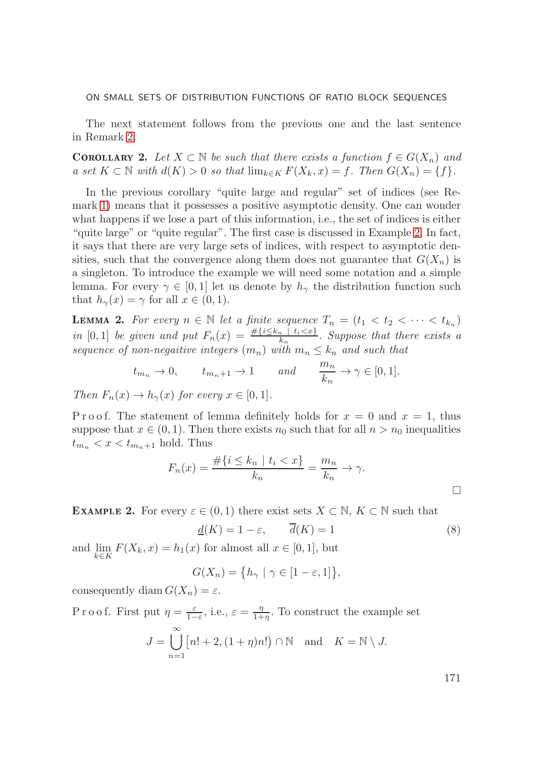#### ON SMALL SETS OF DISTRIBUTION FUNCTIONS OF RATIO BLOCK SEQUENCES

The next statement follows from the previous one and the last sentence in Remark [2.](#page-5-0)

**22** *Let*  $X \subset \mathbb{N}$  *be such that there exists a function*  $f \in G(X_n)$  *and a set*  $K ⊂ N$  *with*  $d(K) > 0$  *so that*  $\lim_{k \in K} F(X_k, x) = f$ . Then  $G(X_n) = \{f\}.$ 

In the previous corollary "quite large and regular" set of indices (see Remark [1\)](#page-5-1) means that it possesses a positive asymptotic density. One can wonder what happens if we lose a part of this information, i.e., the set of indices is either "quite large" or "quite regular". The first case is discussed in Example [2.](#page-6-0) In fact, it says that there are very large sets of indices, with respect to asymptotic densities, such that the convergence along them does not guarantee that  $G(X_n)$  is a singleton. To introduce the example we will need some notation and a simple lemma. For every  $\gamma \in [0,1]$  let us denote by  $h_{\gamma}$  the distribution function such that  $h_{\gamma}(x) = \gamma$  for all  $x \in (0, 1)$ .

<span id="page-6-2"></span>**LEMMA 2.** For every  $n \in \mathbb{N}$  let a finite sequence  $T_n = (t_1 < t_2 < \cdots < t_{k_n})$ *in* [0, 1] *be given and put*  $F_n(x) = \frac{\# \{i \leq k_n \mid t_i \leq x\}}{k_n}$ . Suppose that there exists a *sequence of non-negaitive integers*  $(m_n)$  *with*  $m_n \leq k_n$  *and such that* 

$$
t_{m_n} \to 0
$$
,  $t_{m_n+1} \to 1$  and  $\frac{m_n}{k_n} \to \gamma \in [0,1]$ .

*Then*  $F_n(x) \to h_\gamma(x)$  *for every*  $x \in [0,1]$ *.* 

P r o o f. The statement of lemma definitely holds for  $x = 0$  and  $x = 1$ , thus suppose that  $x \in (0, 1)$ . Then there exists  $n_0$  such that for all  $n > n_0$  inequalities  $t_{m_n} < x < t_{m_n+1}$  hold. Thus

$$
F_n(x) = \frac{\#\{i \le k_n \mid t_i < x\}}{k_n} = \frac{m_n}{k_n} \to \gamma.
$$

<span id="page-6-0"></span>**EXAMPLE 2.** For every  $\varepsilon \in (0,1)$  there exist sets  $X \subset \mathbb{N}$ ,  $K \subset \mathbb{N}$  such that

<span id="page-6-1"></span>
$$
\underline{d}(K) = 1 - \varepsilon, \qquad \overline{d}(K) = 1 \tag{8}
$$

and  $\lim_{k \in K} F(X_k, x) = h_1(x)$  for almost all  $x \in [0, 1]$ , but

$$
G(X_n) = \{h_\gamma \mid \gamma \in [1-\varepsilon, 1]\},\
$$

consequently diam  $G(X_n) = \varepsilon$ .

P r o o f. First put  $\eta = \frac{\varepsilon}{1-\varepsilon}$ , i.e.,  $\varepsilon = \frac{\eta}{1+\eta}$ . To construct the example set ∞

$$
J = \bigcup_{n=1} [n! + 2, (1+\eta)n!) \cap \mathbb{N} \text{ and } K = \mathbb{N} \setminus J.
$$

171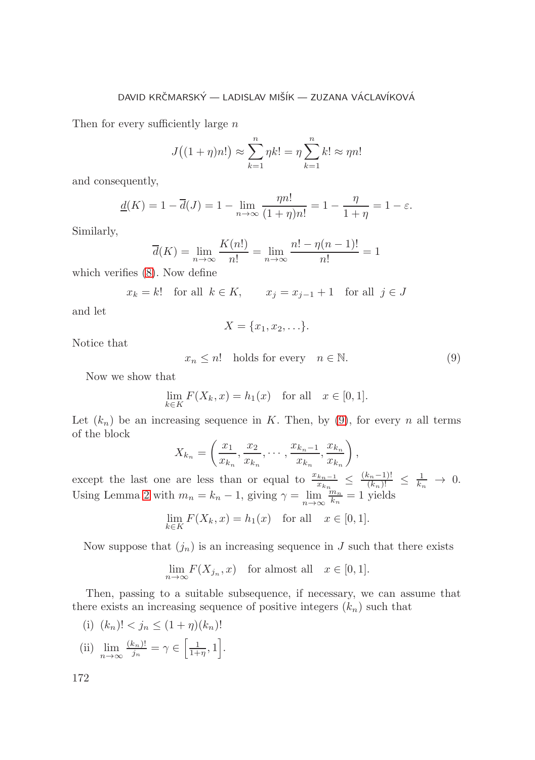#### DAVID KRČMARSKÝ – LADISLAV MIŠÍK – ZUZANA VÁCLAVÍKOVÁ

Then for every sufficiently large  $n$ 

$$
J((1 + \eta)n!) \approx \sum_{k=1}^{n} \eta k! = \eta \sum_{k=1}^{n} k! \approx \eta n!
$$

and consequently,

$$
\underline{d}(K) = 1 - \overline{d}(J) = 1 - \lim_{n \to \infty} \frac{\eta n!}{(1 + \eta)n!} = 1 - \frac{\eta}{1 + \eta} = 1 - \varepsilon.
$$

Similarly,

$$
\overline{d}(K) = \lim_{n \to \infty} \frac{K(n!)}{n!} = \lim_{n \to \infty} \frac{n! - \eta(n-1)!}{n!} = 1
$$

which verifies [\(8\)](#page-6-1). Now define

$$
x_k = k!
$$
 for all  $k \in K$ ,  $x_j = x_{j-1} + 1$  for all  $j \in J$ 

and let

$$
X = \{x_1, x_2, \ldots\}.
$$

Notice that

<span id="page-7-0"></span> $x_n \leq n!$  holds for every  $n \in \mathbb{N}$ . (9)

Now we show that

$$
\lim_{k \in K} F(X_k, x) = h_1(x) \quad \text{for all} \quad x \in [0, 1].
$$

Let  $(k_n)$  be an increasing sequence in K. Then, by [\(9\)](#page-7-0), for every n all terms of the block

$$
X_{k_n} = \left(\frac{x_1}{x_{k_n}}, \frac{x_2}{x_{k_n}}, \cdots, \frac{x_{k_n-1}}{x_{k_n}}, \frac{x_{k_n}}{x_{k_n}}\right),
$$

except the last one are less than or equal to  $\frac{x_{k_n-1}}{x_{k_n}} \leq \frac{(k_n-1)!}{(k_n)!} \leq \frac{1}{k_n} \to 0.$ Using Lemma [2](#page-6-2) with  $m_n = k_n - 1$ , giving  $\gamma = \lim_{n \to \infty} \frac{m_n}{k_n} = 1$  yields

$$
\lim_{k \in K} F(X_k, x) = h_1(x) \quad \text{for all} \quad x \in [0, 1].
$$

Now suppose that  $(j_n)$  is an increasing sequence in J such that there exists

$$
\lim_{n \to \infty} F(X_{j_n}, x) \text{ for almost all } x \in [0, 1].
$$

Then, passing to a suitable subsequence, if necessary, we can assume that there exists an increasing sequence of positive integers  $(k_n)$  such that

- (i)  $(k_n)! < j_n \leq (1 + \eta)(k_n)!$
- (ii)  $\lim_{n \to \infty} \frac{(k_n)!}{j_n} = \gamma \in \left[\frac{1}{1+\eta}, 1\right].$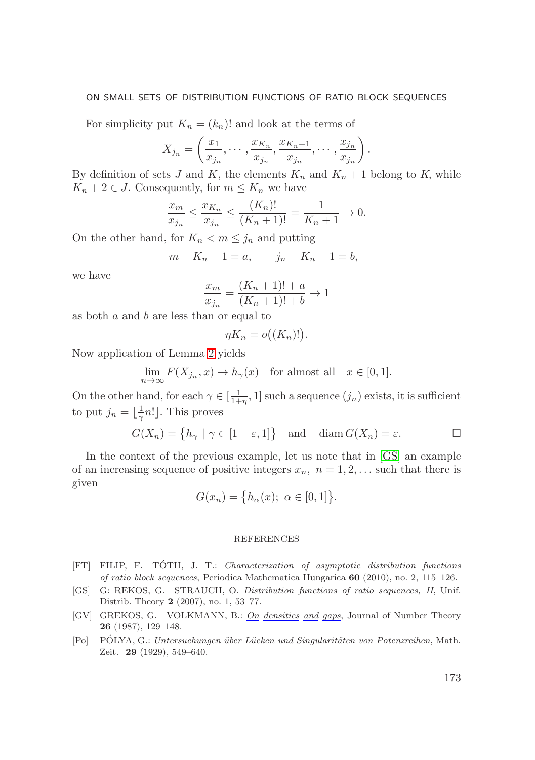#### ON SMALL SETS OF DISTRIBUTION FUNCTIONS OF RATIO BLOCK SEQUENCES

For simplicity put  $K_n = (k_n)!$  and look at the terms of

$$
X_{j_n} = \left(\frac{x_1}{x_{j_n}}, \cdots, \frac{x_{K_n}}{x_{j_n}}, \frac{x_{K_n+1}}{x_{j_n}}, \cdots, \frac{x_{j_n}}{x_{j_n}}\right).
$$

By definition of sets J and K, the elements  $K_n$  and  $K_n + 1$  belong to K, while  $K_n + 2 \in J$ . Consequently, for  $m \leq K_n$  we have

$$
\frac{x_m}{x_{j_n}} \le \frac{x_{K_n}}{x_{j_n}} \le \frac{(K_n)!}{(K_n+1)!} = \frac{1}{K_n+1} \to 0.
$$

On the other hand, for  $K_n < m \leq j_n$  and putting

$$
m - K_n - 1 = a
$$
,  $j_n - K_n - 1 = b$ ,

we have

$$
\frac{x_m}{x_{j_n}} = \frac{(K_n + 1)! + a}{(K_n + 1)! + b} \to 1
$$

as both  $a$  and  $b$  are less than or equal to

$$
\eta K_n = o((K_n)!).
$$

Now application of Lemma [2](#page-6-2) yields

$$
\lim_{n \to \infty} F(X_{j_n}, x) \to h_{\gamma}(x) \quad \text{for almost all} \quad x \in [0, 1].
$$

On the other hand, for each  $\gamma \in [\frac{1}{1+\eta}, 1]$  such a sequence  $(j_n)$  exists, it is sufficient to put  $j_n = \lfloor \frac{1}{\gamma} n! \rfloor$ . This proves

$$
G(X_n) = \{ h_{\gamma} \mid \gamma \in [1 - \varepsilon, 1] \} \text{ and } \text{diam } G(X_n) = \varepsilon. \Box
$$

In the context of the previous example, let us note that in [\[GS\]](#page-8-1) an example of an increasing sequence of positive integers  $x_n$ ,  $n = 1, 2, \ldots$  such that there is given

$$
G(x_n) = \{ h_{\alpha}(x); \ \alpha \in [0,1] \}.
$$

#### REFERENCES

- <span id="page-8-0"></span>[FT] FILIP, F.—TOTH, J. T.: ´ *Characterization of asymptotic distribution functions of ratio block sequences*, Periodica Mathematica Hungarica **60** (2010), no. 2, 115–126.
- <span id="page-8-1"></span>[GS] G: REKOS, G.—STRAUCH, O. *Distribution functions of ratio sequences, II*, Unif. Distrib. Theory **2** (2007), no. 1, 53–77.
- <span id="page-8-2"></span>[GV] GREKOS, G.—VOLKMANN, B.: *On densities and gaps*, Journal of Number Theory **26** (1987), 129–148.
- <span id="page-8-3"></span>[Po] POLYA, G.: ´ *Untersuchungen ¨uber L¨ucken und Singularit¨aten von Potenzreihen*, Math. Zeit. **29** (1929), 549–640.